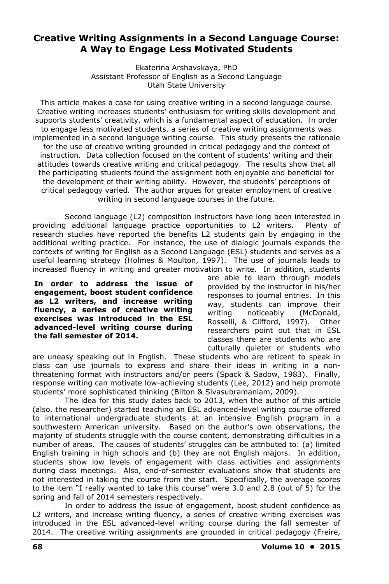# **Creative Writing Assignments in a Second Language Course: A Way to Engage Less Motivated Students**

Ekaterina Arshavskaya, PhD Assistant Professor of English as a Second Language Utah State University

*This article makes a case for using creative writing in a second language course. Creative writing increases students' enthusiasm for writing skills development and supports students' creativity, which is a fundamental aspect of education. In order to engage less motivated students, a series of creative writing assignments was implemented in a second language writing course. This study presents the rationale*  for the use of creative writing grounded in critical pedagogy and the context of *instruction. Data collection focused on the content of students' writing and their attitudes towards creative writing and critical pedagogy. The results show that all the participating students found the assignment both enjoyable and beneficial for the development of their writing ability. However, the students' perceptions of critical pedagogy varied. The author argues for greater employment of creative writing in second language courses in the future.* 

Second language (L2) composition instructors have long been interested in providing additional language practice opportunities to L2 writers. Plenty of research studies have reported the benefits L2 students gain by engaging in the additional writing practice. For instance, the use of dialogic journals expands the contexts of writing for English as a Second Language (ESL) students and serves as a useful learning strategy (Holmes & Moulton, 1997). The use of journals leads to increased fluency in writing and greater motivation to write. In addition, students

**In order to address the issue of engagement, boost student confidence as L2 writers, and increase writing fluency, a series of creative writing exercises was introduced in the ESL advanced-level writing course during the fall semester of 2014.** 

are able to learn through models provided by the instructor in his/her responses to journal entries. In this way, students can improve their writing noticeably (McDonald, Rosselli, & Clifford, 1997). Other researchers point out that in ESL classes there are students who are culturally quieter or students who

are uneasy speaking out in English. These students who are reticent to speak in class can use journals to express and share their ideas in writing in a nonthreatening format with instructors and/or peers (Spack & Sadow, 1983). Finally, response writing can motivate low-achieving students (Lee, 2012) and help promote students' more sophisticated thinking (Bilton & Sivasubramaniam, 2009).

The idea for this study dates back to 2013, when the author of this article (also, the researcher) started teaching an ESL advanced-level writing course offered to international undergraduate students at an intensive English program in a southwestern American university. Based on the author's own observations, the majority of students struggle with the course content, demonstrating difficulties in a number of areas. The causes of students' struggles can be attributed to: (a) limited English training in high schools and (b) they are not English majors. In addition, students show low levels of engagement with class activities and assignments during class meetings. Also, end-of-semester evaluations show that students are not interested in taking the course from the start. Specifically, the average scores to the item "I really wanted to take this course" were 3.0 and 2.8 (out of 5) for the spring and fall of 2014 semesters respectively.

In order to address the issue of engagement, boost student confidence as L2 writers, and increase writing fluency, a series of creative writing exercises was introduced in the ESL advanced-level writing course during the fall semester of 2014. The creative writing assignments are grounded in critical pedagogy (Freire,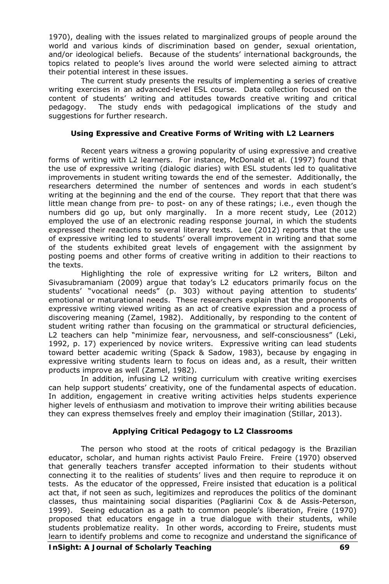1970), dealing with the issues related to marginalized groups of people around the world and various kinds of discrimination based on gender, sexual orientation, and/or ideological beliefs. Because of the students' international backgrounds, the topics related to people's lives around the world were selected aiming to attract their potential interest in these issues.

The current study presents the results of implementing a series of creative writing exercises in an advanced-level ESL course. Data collection focused on the content of students' writing and attitudes towards creative writing and critical pedagogy. The study ends with pedagogical implications of the study and suggestions for further research.

### **Using Expressive and Creative Forms of Writing with L2 Learners**

Recent years witness a growing popularity of using expressive and creative forms of writing with L2 learners. For instance, McDonald et al. (1997) found that the use of expressive writing (dialogic diaries) with ESL students led to qualitative improvements in student writing towards the end of the semester. Additionally, the researchers determined the number of sentences and words in each student's writing at the beginning and the end of the course. They report that that there was little mean change from pre- to post- on any of these ratings; i.e., even though the numbers did go up, but only marginally. In a more recent study, Lee (2012) employed the use of an electronic reading response journal, in which the students expressed their reactions to several literary texts. Lee (2012) reports that the use of expressive writing led to students' overall improvement in writing and that some of the students exhibited great levels of engagement with the assignment by posting poems and other forms of creative writing in addition to their reactions to the texts.

Highlighting the role of expressive writing for L2 writers, Bilton and Sivasubramaniam (2009) argue that today's L2 educators primarily focus on the students' "vocational needs" (p. 303) without paying attention to students' emotional or maturational needs. These researchers explain that the proponents of expressive writing viewed writing as an act of creative expression and a process of discovering meaning (Zamel, 1982). Additionally, by responding to the content of student writing rather than focusing on the grammatical or structural deficiencies, L2 teachers can help "minimize fear, nervousness, and self-consciousness" (Leki, 1992, p. 17) experienced by novice writers. Expressive writing can lead students toward better academic writing (Spack & Sadow, 1983), because by engaging in expressive writing students learn to focus on ideas and, as a result, their written products improve as well (Zamel, 1982).

In addition, infusing L2 writing curriculum with creative writing exercises can help support students' creativity, one of the fundamental aspects of education. In addition, engagement in creative writing activities helps students experience higher levels of enthusiasm and motivation to improve their writing abilities because they can express themselves freely and employ their imagination (Stillar, 2013).

### **Applying Critical Pedagogy to L2 Classrooms**

The person who stood at the roots of critical pedagogy is the Brazilian educator, scholar, and human rights activist Paulo Freire. Freire (1970) observed that generally teachers transfer accepted information to their students without connecting it to the realities of students' lives and then require to reproduce it on tests. As the educator of the oppressed, Freire insisted that education is a political act that, if not seen as such, legitimizes and reproduces the politics of the dominant classes, thus maintaining social disparities (Pagliarini Cox & de Assis-Peterson, 1999). Seeing education as a path to common people's liberation, Freire (1970) proposed that educators engage in a true dialogue with their students, while students problematize reality. In other words, according to Freire, students must learn to identify problems and come to recognize and understand the significance of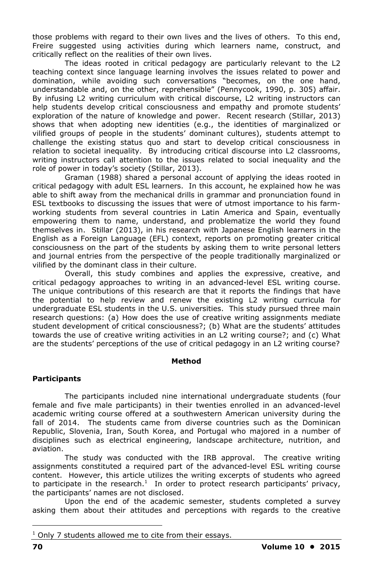those problems with regard to their own lives and the lives of others. To this end, Freire suggested using activities during which learners name, construct, and critically reflect on the realities of their own lives.

The ideas rooted in critical pedagogy are particularly relevant to the L2 teaching context since language learning involves the issues related to power and domination, while avoiding such conversations "becomes, on the one hand, understandable and, on the other, reprehensible" (Pennycook, 1990, p. 305) affair. By infusing L2 writing curriculum with critical discourse, L2 writing instructors can help students develop critical consciousness and empathy and promote students' exploration of the nature of knowledge and power. Recent research (Stillar, 2013) shows that when adopting new identities (e.g., the identities of marginalized or vilified groups of people in the students' dominant cultures), students attempt to challenge the existing status quo and start to develop critical consciousness in relation to societal inequality. By introducing critical discourse into L2 classrooms, writing instructors call attention to the issues related to social inequality and the role of power in today's society (Stillar, 2013).

Graman (1988) shared a personal account of applying the ideas rooted in critical pedagogy with adult ESL learners. In this account, he explained how he was able to shift away from the mechanical drills in grammar and pronunciation found in ESL textbooks to discussing the issues that were of utmost importance to his farmworking students from several countries in Latin America and Spain, eventually empowering them to name, understand, and problematize the world they found themselves in. Stillar (2013), in his research with Japanese English learners in the English as a Foreign Language (EFL) context, reports on promoting greater critical consciousness on the part of the students by asking them to write personal letters and journal entries from the perspective of the people traditionally marginalized or vilified by the dominant class in their culture.

Overall, this study combines and applies the expressive, creative, and critical pedagogy approaches to writing in an advanced-level ESL writing course. The unique contributions of this research are that it reports the findings that have the potential to help review and renew the existing L2 writing curricula for undergraduate ESL students in the U.S. universities. This study pursued three main research questions: (a) How does the use of creative writing assignments mediate student development of critical consciousness?; (b) What are the students' attitudes towards the use of creative writing activities in an L2 writing course?; and (c) What are the students' perceptions of the use of critical pedagogy in an L2 writing course?

#### **Method**

### **Participants**

The participants included nine international undergraduate students (four female and five male participants) in their twenties enrolled in an advanced-level academic writing course offered at a southwestern American university during the fall of 2014. The students came from diverse countries such as the Dominican Republic, Slovenia, Iran, South Korea, and Portugal who majored in a number of disciplines such as electrical engineering, landscape architecture, nutrition, and aviation.

The study was conducted with the IRB approval. The creative writing assignments constituted a required part of the advanced-level ESL writing course content. However, this article utilizes the writing excerpts of students who agreed to participate in the research.<sup>1</sup> In order to protect research participants' privacy, the participants' names are not disclosed.

Upon the end of the academic semester, students completed a survey asking them about their attitudes and perceptions with regards to the creative

 $\overline{a}$ 

 $1$  Only 7 students allowed me to cite from their essays.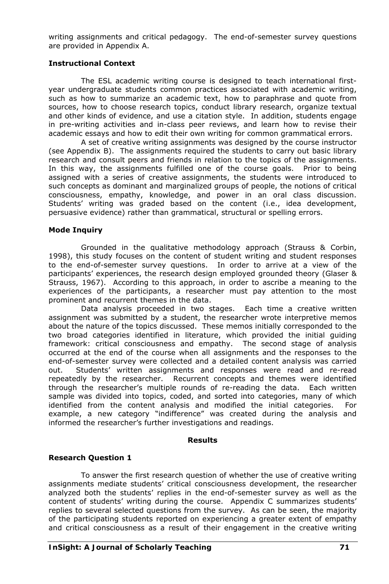writing assignments and critical pedagogy. The end-of-semester survey questions are provided in Appendix A.

### **Instructional Context**

The ESL academic writing course is designed to teach international firstyear undergraduate students common practices associated with academic writing, such as how to summarize an academic text, how to paraphrase and quote from sources, how to choose research topics, conduct library research, organize textual and other kinds of evidence, and use a citation style. In addition, students engage in pre-writing activities and in-class peer reviews, and learn how to revise their academic essays and how to edit their own writing for common grammatical errors.

A set of creative writing assignments was designed by the course instructor (see Appendix B). The assignments required the students to carry out basic library research and consult peers and friends in relation to the topics of the assignments. In this way, the assignments fulfilled one of the course goals. Prior to being assigned with a series of creative assignments, the students were introduced to such concepts as dominant and marginalized groups of people, the notions of critical consciousness, empathy, knowledge, and power in an oral class discussion. Students' writing was graded based on the content (i.e., idea development, persuasive evidence) rather than grammatical, structural or spelling errors.

#### **Mode Inquiry**

Grounded in the qualitative methodology approach (Strauss & Corbin, 1998), this study focuses on the content of student writing and student responses to the end-of-semester survey questions. In order to arrive at a view of the participants' experiences, the research design employed grounded theory (Glaser & Strauss, 1967). According to this approach, in order to ascribe a meaning to the experiences of the participants, a researcher must pay attention to the most prominent and recurrent themes in the data.

Data analysis proceeded in two stages. Each time a creative written assignment was submitted by a student, the researcher wrote interpretive memos about the nature of the topics discussed. These memos initially corresponded to the two broad categories identified in literature, which provided the initial guiding framework: critical consciousness and empathy. The second stage of analysis occurred at the end of the course when all assignments and the responses to the end-of-semester survey were collected and a detailed content analysis was carried out. Students' written assignments and responses were read and re-read repeatedly by the researcher. Recurrent concepts and themes were identified through the researcher's multiple rounds of re-reading the data. Each written sample was divided into topics, coded, and sorted into categories, many of which identified from the content analysis and modified the initial categories. For example, a new category "indifference" was created during the analysis and informed the researcher's further investigations and readings.

#### **Results**

#### **Research Question 1**

To answer the first research question of whether the use of creative writing assignments mediate students' critical consciousness development, the researcher analyzed both the students' replies in the end-of-semester survey as well as the content of students' writing during the course. Appendix C summarizes students' replies to several selected questions from the survey. As can be seen, the majority of the participating students reported on experiencing a greater extent of empathy and critical consciousness as a result of their engagement in the creative writing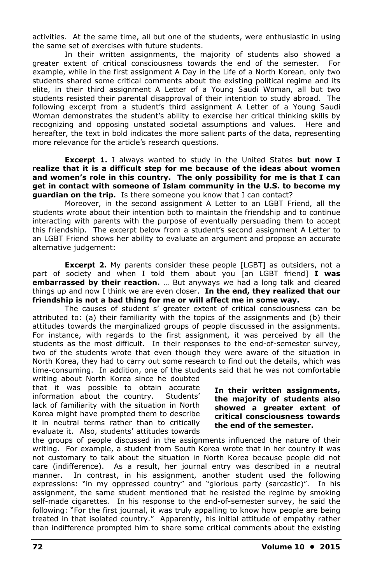activities. At the same time, all but one of the students, were enthusiastic in using the same set of exercises with future students.

In their written assignments, the majority of students also showed a greater extent of critical consciousness towards the end of the semester. For example, while in the first assignment *A Day in the Life of a North Korean,* only two students shared some critical comments about the existing political regime and its elite, in their third assignment *A Letter of a Young Saudi Woman,* all but two students resisted their parental disapproval of their intention to study abroad. The following excerpt from a student's third assignment *A Letter of a Young Saudi Woman* demonstrates the student's ability to exercise her critical thinking skills by recognizing and opposing unstated societal assumptions and values. Here and hereafter, the text in bold indicates the more salient parts of the data, representing more relevance for the article's research questions.

**Excerpt 1.** I always wanted to study in the United States **but now I realize that it is a difficult step for me because of the ideas about women and women's role in this country. The only possibility for me is that I can get in contact with someone of Islam community in the U.S. to become my guardian on the trip.** Is there someone you know that I can contact?

Moreover, in the second assignment *A Letter to an LGBT Friend,* all the students wrote about their intention both to maintain the friendship and to continue interacting with parents with the purpose of eventually persuading them to accept this friendship. The excerpt below from a student's second assignment *A Letter to an LGBT Friend* shows her ability to evaluate an argument and propose an accurate alternative judgement:

**Excerpt 2.** My parents consider these people [LGBT] as outsiders, not a part of society and when I told them about you [an LGBT friend] **I was embarrassed by their reaction.** … But anyways we had a long talk and cleared things up and now I think we are even closer. **In the end, they realized that our friendship is not a bad thing for me or will affect me in some way.** 

The causes of student s' greater extent of critical consciousness can be attributed to: (a) their familiarity with the topics of the assignments and (b) their attitudes towards the marginalized groups of people discussed in the assignments. For instance, with regards to the first assignment, it was perceived by all the students as the most difficult. In their responses to the end-of-semester survey, two of the students wrote that even though they were aware of the situation in North Korea, they had to carry out some research to find out the details, which was time-consuming. In addition, one of the students said that he was not comfortable

writing about North Korea since he doubted that it was possible to obtain accurate<br>information about the country. Students' information about the country. lack of familiarity with the situation in North Korea might have prompted them to describe it in neutral terms rather than to critically evaluate it. Also, students' attitudes towards

**In their written assignments, the majority of students also showed a greater extent of critical consciousness towards the end of the semester.** 

the groups of people discussed in the assignments influenced the nature of their writing. For example, a student from South Korea wrote that in her country it was not customary to talk about the situation in North Korea because people did not care (indifference). As a result, her journal entry was described in a neutral manner. In contrast, in his assignment, another student used the following expressions: "in my oppressed country" and "glorious party (sarcastic)". In his assignment, the same student mentioned that he resisted the regime by smoking self-made cigarettes. In his response to the end-of-semester survey, he said the following: "For the first journal, it was truly appalling to know how people are being treated in that isolated country." Apparently, his initial attitude of empathy rather than indifference prompted him to share some critical comments about the existing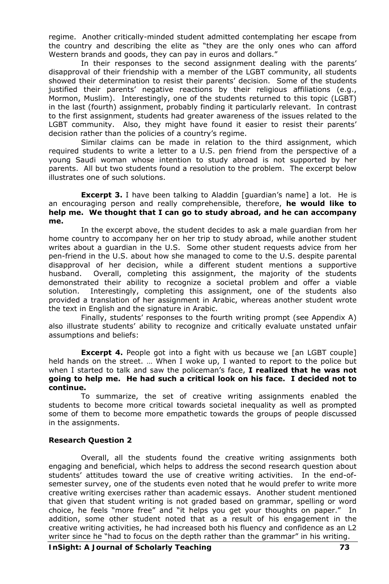regime. Another critically-minded student admitted contemplating her escape from the country and describing the elite as "they are the only ones who can afford Western brands and goods, they can pay in euros and dollars."

In their responses to the second assignment dealing with the parents' disapproval of their friendship with a member of the LGBT community, all students showed their determination to resist their parents' decision. Some of the students justified their parents' negative reactions by their religious affiliations (e.g., Mormon, Muslim). Interestingly, one of the students returned to this topic (LGBT) in the last (fourth) assignment, probably finding it particularly relevant. In contrast to the first assignment, students had greater awareness of the issues related to the LGBT community. Also, they might have found it easier to resist their parents' decision rather than the policies of a country's regime.

Similar claims can be made in relation to the third assignment, which required students to write a letter to a U.S. pen friend from the perspective of a young Saudi woman whose intention to study abroad is not supported by her parents. All but two students found a resolution to the problem. The excerpt below illustrates one of such solutions.

**Excerpt 3.** I have been talking to Aladdin [guardian's name] a lot. He is an encouraging person and really comprehensible, therefore, **he would like to help me. We thought that I can go to study abroad, and he can accompany me.** 

In the excerpt above, the student decides to ask a male guardian from her home country to accompany her on her trip to study abroad, while another student writes about a guardian in the U.S. Some other student requests advice from her pen-friend in the U.S. about how she managed to come to the U.S. despite parental disapproval of her decision, while a different student mentions a supportive husband. Overall, completing this assignment, the majority of the students demonstrated their ability to recognize a societal problem and offer a viable solution. Interestingly, completing this assignment, one of the students also provided a translation of her assignment in Arabic, whereas another student wrote the text in English and the signature in Arabic.

Finally, students' responses to the fourth writing prompt (see Appendix A) also illustrate students' ability to recognize and critically evaluate unstated unfair assumptions and beliefs:

**Excerpt 4.** People got into a fight with us because we [an LGBT couple] held hands on the street. … When I woke up, I wanted to report to the police but when I started to talk and saw the policeman's face, **I realized that he was not going to help me. He had such a critical look on his face. I decided not to continue.** 

To summarize, the set of creative writing assignments enabled the students to become more critical towards societal inequality as well as prompted some of them to become more empathetic towards the groups of people discussed in the assignments.

#### **Research Question 2**

Overall, all the students found the creative writing assignments both engaging and beneficial, which helps to address the second research question about students' attitudes toward the use of creative writing activities. In the end-ofsemester survey, one of the students even noted that he would prefer to write more creative writing exercises rather than academic essays. Another student mentioned that given that student writing is not graded based on grammar, spelling or word choice, he feels "more free" and "it helps you get your thoughts on paper." In addition, some other student noted that as a result of his engagement in the creative writing activities, he had increased both his fluency and confidence as an L2 writer since he "had to focus on the depth rather than the grammar" in his writing.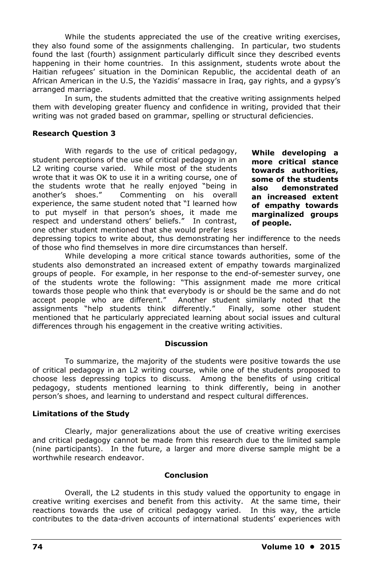While the students appreciated the use of the creative writing exercises, they also found some of the assignments challenging. In particular, two students found the last (fourth) assignment particularly difficult since they described events happening in their home countries. In this assignment, students wrote about the Haitian refugees' situation in the Dominican Republic, the accidental death of an African American in the U.S, the Yazidis' massacre in Iraq, gay rights, and a gypsy's arranged marriage.

In sum, the students admitted that the creative writing assignments helped them with developing greater fluency and confidence in writing, provided that their writing was not graded based on grammar, spelling or structural deficiencies.

### **Research Question 3**

With regards to the use of critical pedagogy, student perceptions of the use of critical pedagogy in an L2 writing course varied. While most of the students wrote that it was OK to use it in a writing course, one of the students wrote that he really enjoyed "being in another's shoes." Commenting on his overall experience, the same student noted that "I learned how to put myself in that person's shoes, it made me respect and understand others' beliefs." In contrast, one other student mentioned that she would prefer less

**While developing a more critical stance towards authorities, some of the students also demonstrated an increased extent of empathy towards marginalized groups of people.**

depressing topics to write about, thus demonstrating her indifference to the needs of those who find themselves in more dire circumstances than herself.

While developing a more critical stance towards authorities, some of the students also demonstrated an increased extent of empathy towards marginalized groups of people. For example, in her response to the end-of-semester survey, one of the students wrote the following: "This assignment made me more critical towards those people who think that everybody is or should be the same and do not accept people who are different." Another student similarly noted that the assignments "help students think differently." Finally, some other student mentioned that he particularly appreciated learning about social issues and cultural differences through his engagement in the creative writing activities.

#### **Discussion**

To summarize, the majority of the students were positive towards the use of critical pedagogy in an L2 writing course, while one of the students proposed to choose less depressing topics to discuss. Among the benefits of using critical pedagogy, students mentioned learning to think differently, being in another person's shoes, and learning to understand and respect cultural differences.

### **Limitations of the Study**

Clearly, major generalizations about the use of creative writing exercises and critical pedagogy cannot be made from this research due to the limited sample (nine participants). In the future, a larger and more diverse sample might be a worthwhile research endeavor.

### **Conclusion**

Overall, the L2 students in this study valued the opportunity to engage in creative writing exercises and benefit from this activity. At the same time, their reactions towards the use of critical pedagogy varied. In this way, the article contributes to the data-driven accounts of international students' experiences with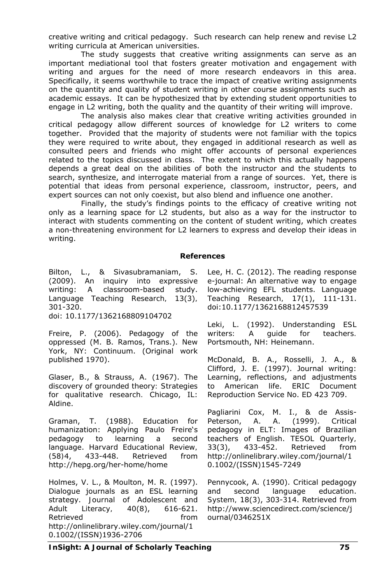creative writing and critical pedagogy. Such research can help renew and revise L2 writing curricula at American universities.

The study suggests that creative writing assignments can serve as an important mediational tool that fosters greater motivation and engagement with writing and argues for the need of more research endeavors in this area. Specifically, it seems worthwhile to trace the impact of creative writing assignments on the quantity and quality of student writing in other course assignments such as academic essays. It can be hypothesized that by extending student opportunities to engage in L2 writing, both the quality and the quantity of their writing will improve.

The analysis also makes clear that creative writing activities grounded in critical pedagogy allow different sources of knowledge for L2 writers to come together. Provided that the majority of students were not familiar with the topics they were required to write about, they engaged in additional research as well as consulted peers and friends who might offer accounts of personal experiences related to the topics discussed in class. The extent to which this actually happens depends a great deal on the abilities of both the instructor and the students to search, synthesize, and interrogate material from a range of sources. Yet, there is potential that ideas from personal experience, classroom, instructor, peers, and expert sources can not only coexist, but also blend and influence one another.

Finally, the study's findings points to the efficacy of creative writing not only as a learning space for L2 students, but also as a way for the instructor to interact with students commenting on the content of student writing, which creates a non-threatening environment for L2 learners to express and develop their ideas in writing.

#### **References**

Bilton, L., & Sivasubramaniam, S. (2009). An inquiry into expressive writing: A classroom-based study. *Language Teaching Research, 13*(3)*,*  301-320. doi: 10.1177/1362168809104702

Freire, P. (2006). *Pedagogy of the oppressed* (M. B. Ramos, Trans.). New York, NY: Continuum. (Original work published 1970).

Glaser, B., & Strauss, A. (1967). *The discovery of grounded theory: Strategies for qualitative research.* Chicago, IL: Aldine.

Graman, T. (1988). Education for humanization: Applying Paulo Freire's pedagogy to learning a second language. *Harvard Educational Review, (58)*4, 433-448. Retrieved from http://hepg.org/her-home/home

Holmes, V. L., & Moulton, M. R. (1997). Dialogue journals as an ESL learning strategy. *Journal of Adolescent and Adult Literacy, 40*(8), 616-621. Retrieved **from** http://onlinelibrary.wiley.com/journal/1 0.1002/(ISSN)1936-2706

Lee, H. C. (2012). The reading response e-journal: An alternative way to engage low-achieving EFL students. *Language Teaching Research, 17*(1), 111-131. doi:10.1177/1362168812457539

Leki, L. (1992). *Understanding ESL writers: A guide for teachers.* Portsmouth, NH: Heinemann.

McDonald, B. A., Rosselli, J. A., & Clifford, J. E. (1997). Journal writing: Learning, reflections, and adjustments to American life. ERIC Document Reproduction Service No. ED 423 709.

Pagliarini Cox, M. I., & de Assis-Peterson, A. A. (1999). Critical pedagogy in ELT: Images of Brazilian teachers of English. *TESOL Quarterly, 33*(3), 433-452. Retrieved from http://onlinelibrary.wiley.com/journal/1 0.1002/(ISSN)1545-7249

Pennycook, A. (1990). Critical pedagogy and second language education. *System, 18*(3), 303-314. Retrieved from http://www.sciencedirect.com/science/j ournal/0346251X

*InSight: A Journal of Scholarly Teaching* **75**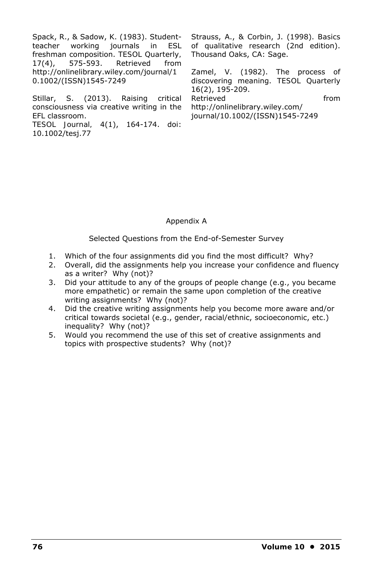Spack, R., & Sadow, K. (1983). Studentteacher working journals in ESL freshman composition. *TESOL Quarterly, 17*(4), 575-593. Retrieved from http://onlinelibrary.wiley.com/journal/1 0.1002/(ISSN)1545-7249

Stillar, S. (2013). Raising critical consciousness via creative writing in the EFL classroom. *TESOL Journal, 4*(1), 164-174. doi:

10.1002/tesj.77

Strauss, A., & Corbin, J. (1998). *Basics of qualitative research* (2nd edition). Thousand Oaks, CA: Sage.

Zamel, V. (1982). The process of discovering meaning. *TESOL Quarterly 16*(2), 195-209. Retrieved from http://onlinelibrary.wiley.com/ journal/10.1002/(ISSN)1545-7249

# Appendix A

Selected Questions from the End-of-Semester Survey

- 1. Which of the four assignments did you find the most difficult? Why?
- 2. Overall, did the assignments help you increase your confidence and fluency as a writer? Why (not)?
- 3. Did your attitude to any of the groups of people change (e.g., you became more empathetic) or remain the same upon completion of the creative writing assignments? Why (not)?
- 4. Did the creative writing assignments help you become more aware and/or critical towards societal (e.g., gender, racial/ethnic, socioeconomic, etc.) inequality? Why (not)?
- 5. Would you recommend the use of this set of creative assignments and topics with prospective students? Why (not)?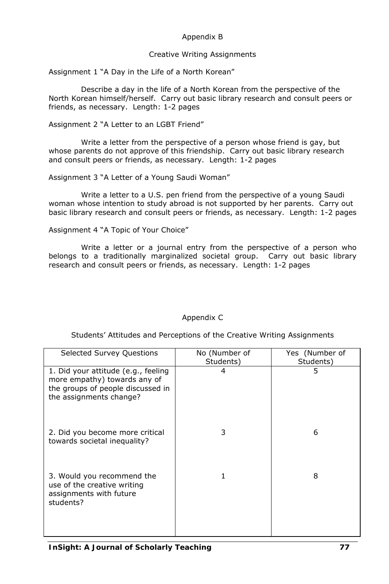# Appendix B

### Creative Writing Assignments

Assignment 1 "A Day in the Life of a North Korean"

Describe a day in the life of a North Korean from the perspective of the North Korean himself/herself. Carry out basic library research and consult peers or friends, as necessary. Length: 1-2 pages

Assignment 2 "A Letter to an LGBT Friend"

Write a letter from the perspective of a person whose friend is gay, but whose parents do not approve of this friendship. Carry out basic library research and consult peers or friends, as necessary. Length: 1-2 pages

Assignment 3 "A Letter of a Young Saudi Woman"

Write a letter to a U.S. pen friend from the perspective of a young Saudi woman whose intention to study abroad is not supported by her parents. Carry out basic library research and consult peers or friends, as necessary. Length: 1-2 pages

Assignment 4 "A Topic of Your Choice"

Write a letter or a journal entry from the perspective of a person who belongs to a traditionally marginalized societal group. Carry out basic library research and consult peers or friends, as necessary. Length: 1-2 pages

# Appendix C

Students' Attitudes and Perceptions of the Creative Writing Assignments

| <b>Selected Survey Questions</b>                                                                                                    | No (Number of<br>Students) | Yes (Number of<br>Students) |
|-------------------------------------------------------------------------------------------------------------------------------------|----------------------------|-----------------------------|
| 1. Did your attitude (e.g., feeling<br>more empathy) towards any of<br>the groups of people discussed in<br>the assignments change? |                            | 5                           |
| 2. Did you become more critical<br>towards societal inequality?                                                                     | 3                          | 6                           |
| 3. Would you recommend the<br>use of the creative writing<br>assignments with future<br>students?                                   |                            | 8                           |

*InSight: A Journal of Scholarly Teaching* **77**